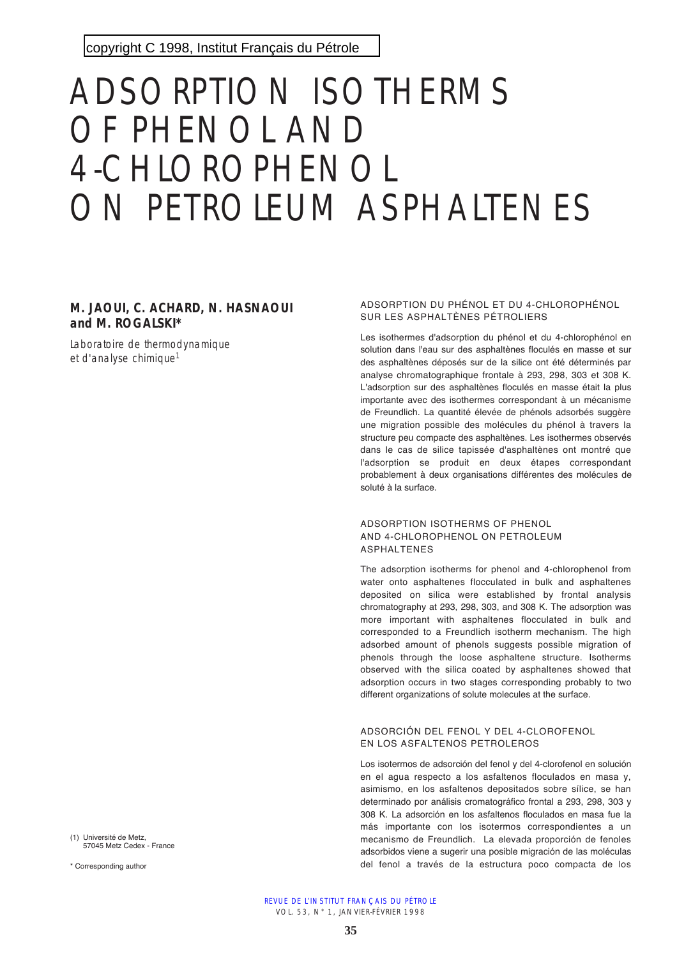# ADSORPTION ISOTHERMS OF PHENOL AND 4-CHLOROPHENOL ON PETROLEUM ASPHALTENES

## **M. JAOUI, C. ACHARD, N. HASNAOUI and M. ROGALSKI\***

Laboratoire de thermodynamique et d'analyse chimique<sup>1</sup>

ADSORPTION DU PHÉNOL ET DU 4-CHLOROPHÉNOL SUR LES ASPHALTÈNES PÉTROLIERS

Les isothermes d'adsorption du phénol et du 4-chlorophénol en solution dans l'eau sur des asphaltènes floculés en masse et sur des asphaltènes déposés sur de la silice ont été déterminés par analyse chromatographique frontale à 293, 298, 303 et 308 K. L'adsorption sur des asphaltènes floculés en masse était la plus importante avec des isothermes correspondant à un mécanisme de Freundlich. La quantité élevée de phénols adsorbés suggère une migration possible des molécules du phénol à travers la structure peu compacte des asphaltènes. Les isothermes observés dans le cas de silice tapissée d'asphaltènes ont montré que l'adsorption se produit en deux étapes correspondant probablement à deux organisations différentes des molécules de soluté à la surface.

#### ADSORPTION ISOTHERMS OF PHENOL AND 4-CHLOROPHENOL ON PETROLEUM ASPHALTENES

The adsorption isotherms for phenol and 4-chlorophenol from water onto asphaltenes flocculated in bulk and asphaltenes deposited on silica were established by frontal analysis chromatography at 293, 298, 303, and 308 K. The adsorption was more important with asphaltenes flocculated in bulk and corresponded to a Freundlich isotherm mechanism. The high adsorbed amount of phenols suggests possible migration of phenols through the loose asphaltene structure. Isotherms observed with the silica coated by asphaltenes showed that adsorption occurs in two stages corresponding probably to two different organizations of solute molecules at the surface.

#### ADSORCIÓN DEL FENOL Y DEL 4-CLOROFENOL EN LOS ASFALTENOS PETROLEROS

Los isotermos de adsorción del fenol y del 4-clorofenol en solución en el agua respecto a los asfaltenos floculados en masa y, asimismo, en los asfaltenos depositados sobre sílice, se han determinado por análisis cromatográfico frontal a 293, 298, 303 y 308 K. La adsorción en los asfaltenos floculados en masa fue la más importante con los isotermos correspondientes a un mecanismo de Freundlich. La elevada proporción de fenoles adsorbidos viene a sugerir una posible migración de las moléculas del fenol a través de la estructura poco compacta de los

(1) Université de Metz, 57045 Metz Cedex - France

\* Corresponding author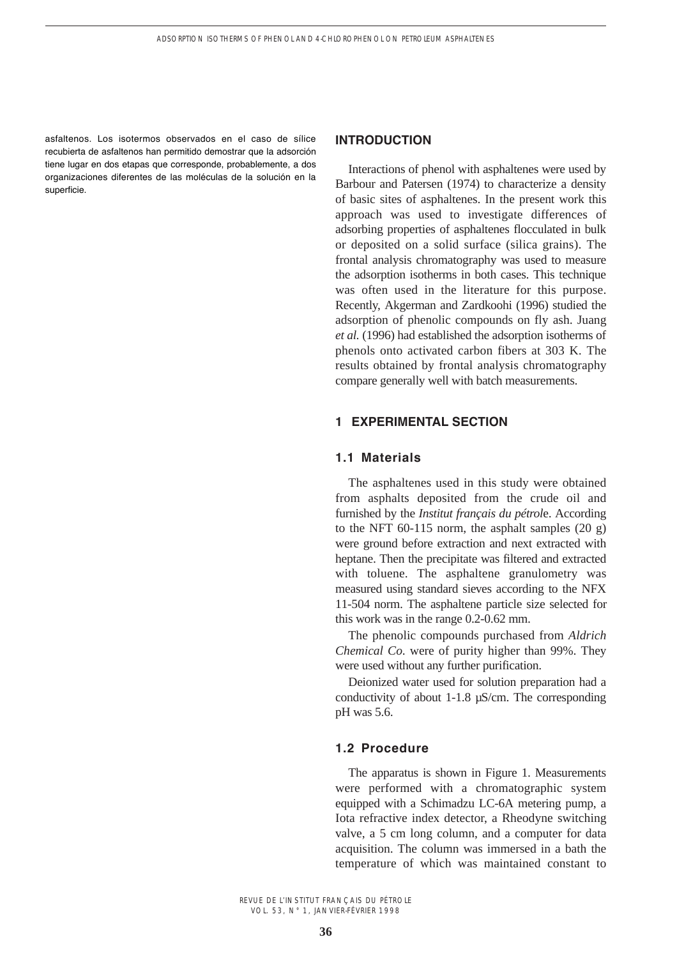asfaltenos. Los isotermos observados en el caso de sílice recubierta de asfaltenos han permitido demostrar que la adsorción tiene lugar en dos etapas que corresponde, probablemente, a dos organizaciones diferentes de las moléculas de la solución en la superficie.

#### **INTRODUCTION**

Interactions of phenol with asphaltenes were used by Barbour and Patersen (1974) to characterize a density of basic sites of asphaltenes. In the present work this approach was used to investigate differences of adsorbing properties of asphaltenes flocculated in bulk or deposited on a solid surface (silica grains). The frontal analysis chromatography was used to measure the adsorption isotherms in both cases. This technique was often used in the literature for this purpose. Recently, Akgerman and Zardkoohi (1996) studied the adsorption of phenolic compounds on fly ash. Juang *et al.* (1996) had established the adsorption isotherms of phenols onto activated carbon fibers at 303 K. The results obtained by frontal analysis chromatography compare generally well with batch measurements.

## **1 EXPERIMENTAL SECTION**

## **1.1 Materials**

The asphaltenes used in this study were obtained from asphalts deposited from the crude oil and furnished by the *Institut français du pétrol*e. According to the NFT 60-115 norm, the asphalt samples (20 g) were ground before extraction and next extracted with heptane. Then the precipitate was filtered and extracted with toluene. The asphaltene granulometry was measured using standard sieves according to the NFX 11-504 norm. The asphaltene particle size selected for this work was in the range 0.2-0.62 mm.

The phenolic compounds purchased from *Aldrich Chemical Co*. were of purity higher than 99%. They were used without any further purification.

Deionized water used for solution preparation had a conductivity of about 1-1.8 µS/cm. The corresponding pH was 5.6.

## **1.2 Procedure**

The apparatus is shown in Figure 1. Measurements were performed with a chromatographic system equipped with a Schimadzu LC-6A metering pump, a Iota refractive index detector, a Rheodyne switching valve, a 5 cm long column, and a computer for data acquisition. The column was immersed in a bath the temperature of which was maintained constant to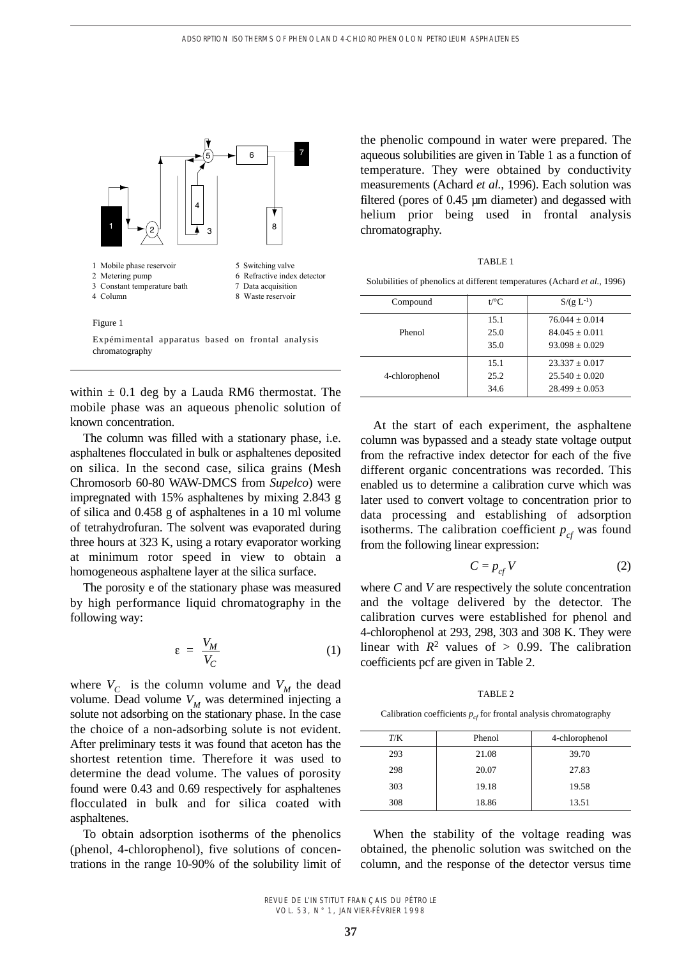

within  $\pm$  0.1 deg by a Lauda RM6 thermostat. The mobile phase was an aqueous phenolic solution of known concentration.

The column was filled with a stationary phase, i.e. asphaltenes flocculated in bulk or asphaltenes deposited on silica. In the second case, silica grains (Mesh Chromosorb 60-80 WAW-DMCS from *Supelco*) were impregnated with 15% asphaltenes by mixing 2.843 g of silica and 0.458 g of asphaltenes in a 10 ml volume of tetrahydrofuran. The solvent was evaporated during three hours at 323 K, using a rotary evaporator working at minimum rotor speed in view to obtain a homogeneous asphaltene layer at the silica surface.

The porosity e of the stationary phase was measured by high performance liquid chromatography in the following way:

$$
\varepsilon = \frac{V_M}{V_C} \tag{1}
$$

where  $V_C$  is the column volume and  $V_M$  the dead volume. Dead volume  $V_M$  was determined injecting a solute not adsorbing on the stationary phase. In the case the choice of a non-adsorbing solute is not evident. After preliminary tests it was found that aceton has the shortest retention time. Therefore it was used to determine the dead volume. The values of porosity found were 0.43 and 0.69 respectively for asphaltenes flocculated in bulk and for silica coated with asphaltenes.

To obtain adsorption isotherms of the phenolics (phenol, 4-chlorophenol), five solutions of concentrations in the range 10-90% of the solubility limit of

the phenolic compound in water were prepared. The aqueous solubilities are given in Table 1 as a function of temperature. They were obtained by conductivity measurements (Achard *et al.*, 1996). Each solution was filtered (pores of 0.45 µm diameter) and degassed with helium prior being used in frontal analysis chromatography.

TABLE 1

Solubilities of phenolics at different temperatures (Achard *et al.*, 1996)

| Compound       | $t$ /°C | $S/(g L^{-1})$     |
|----------------|---------|--------------------|
| Phenol         | 15.1    | $76.044 + 0.014$   |
|                | 25.0    | $84.045 + 0.011$   |
|                | 35.0    | $93.098 + 0.029$   |
| 4-chlorophenol | 15.1    | $23.337 + 0.017$   |
|                | 25.2    | $25.540 + 0.020$   |
|                | 34.6    | $28.499 \pm 0.053$ |

At the start of each experiment, the asphaltene column was bypassed and a steady state voltage output from the refractive index detector for each of the five different organic concentrations was recorded. This enabled us to determine a calibration curve which was later used to convert voltage to concentration prior to data processing and establishing of adsorption isotherms. The calibration coefficient  $p_{cf}$  was found from the following linear expression:

$$
C = p_{cf} V \tag{2}
$$

where *C* and *V* are respectively the solute concentration and the voltage delivered by the detector. The calibration curves were established for phenol and 4-chlorophenol at 293, 298, 303 and 308 K. They were linear with  $R^2$  values of  $> 0.99$ . The calibration coefficients pcf are given in Table 2.

TABLE 2

Calibration coefficients  $p_{cf}$  for frontal analysis chromatography

| T/K | Phenol | 4-chlorophenol |
|-----|--------|----------------|
| 293 | 21.08  | 39.70          |
| 298 | 20.07  | 27.83          |
| 303 | 19.18  | 19.58          |
| 308 | 18.86  | 13.51          |

When the stability of the voltage reading was obtained, the phenolic solution was switched on the column, and the response of the detector versus time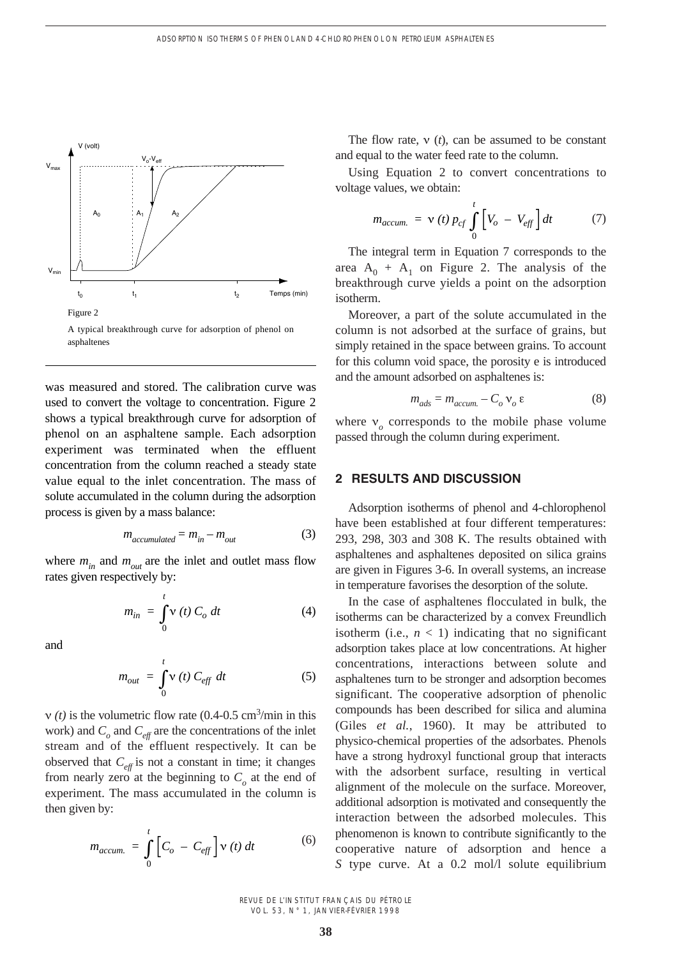

A typical breakthrough curve for adsorption of phenol on asphaltenes

was measured and stored. The calibration curve was used to convert the voltage to concentration. Figure 2 shows a typical breakthrough curve for adsorption of phenol on an asphaltene sample. Each adsorption experiment was terminated when the effluent concentration from the column reached a steady state value equal to the inlet concentration. The mass of solute accumulated in the column during the adsorption process is given by a mass balance:

$$
m_{accumulated} = m_{in} - m_{out} \tag{3}
$$

where  $m_{in}$  and  $m_{out}$  are the inlet and outlet mass flow rates given respectively by:

$$
m_{in} = \int_{0}^{t} \mathbf{v}(t) C_o dt
$$
 (4)

and

$$
m_{out} = \int_{0}^{t} \mathbf{v}(t) C_{eff} dt
$$
 (5)

 $v(t)$  is the volumetric flow rate (0.4-0.5 cm<sup>3</sup>/min in this work) and  $C<sub>o</sub>$  and  $C<sub>eff</sub>$  are the concentrations of the inlet stream and of the effluent respectively. It can be observed that  $C_{\text{eff}}$  is not a constant in time; it changes from nearly zero at the beginning to  $C<sub>o</sub>$  at the end of experiment. The mass accumulated in the column is then given by:

$$
m_{accum.} = \int_{0}^{t} \left[ C_o - C_{eff} \right] \mathbf{v}(t) dt
$$
 (6)

The flow rate,  $v(t)$ , can be assumed to be constant and equal to the water feed rate to the column.

Using Equation 2 to convert concentrations to voltage values, we obtain:

$$
m_{accum.} = \mathbf{v}(t) p_{cf} \int_{0}^{t} \left[ V_o - V_{eff} \right] dt \tag{7}
$$

The integral term in Equation 7 corresponds to the area  $A_0 + A_1$  on Figure 2. The analysis of the breakthrough curve yields a point on the adsorption isotherm.

Moreover, a part of the solute accumulated in the column is not adsorbed at the surface of grains, but simply retained in the space between grains. To account for this column void space, the porosity e is introduced and the amount adsorbed on asphaltenes is:

$$
m_{ads} = m_{accum.} - C_o v_o \varepsilon \tag{8}
$$

where  $v_a$  corresponds to the mobile phase volume passed through the column during experiment.

## **2 RESULTS AND DISCUSSION**

Adsorption isotherms of phenol and 4-chlorophenol have been established at four different temperatures: 293, 298, 303 and 308 K. The results obtained with asphaltenes and asphaltenes deposited on silica grains are given in Figures 3-6. In overall systems, an increase in temperature favorises the desorption of the solute.

In the case of asphaltenes flocculated in bulk, the isotherms can be characterized by a convex Freundlich isotherm (i.e.,  $n < 1$ ) indicating that no significant adsorption takes place at low concentrations. At higher concentrations, interactions between solute and asphaltenes turn to be stronger and adsorption becomes significant. The cooperative adsorption of phenolic compounds has been described for silica and alumina (Giles *et al.*, 1960). It may be attributed to physico-chemical properties of the adsorbates. Phenols have a strong hydroxyl functional group that interacts with the adsorbent surface, resulting in vertical alignment of the molecule on the surface. Moreover, additional adsorption is motivated and consequently the interaction between the adsorbed molecules. This phenomenon is known to contribute significantly to the cooperative nature of adsorption and hence a *S* type curve. At a 0.2 mol/l solute equilibrium

REVUE DE L'INSTITUT FRANÇAIS DU PÉTROLE VOL. 53, N° 1, JANVIER-FÉVRIER 1998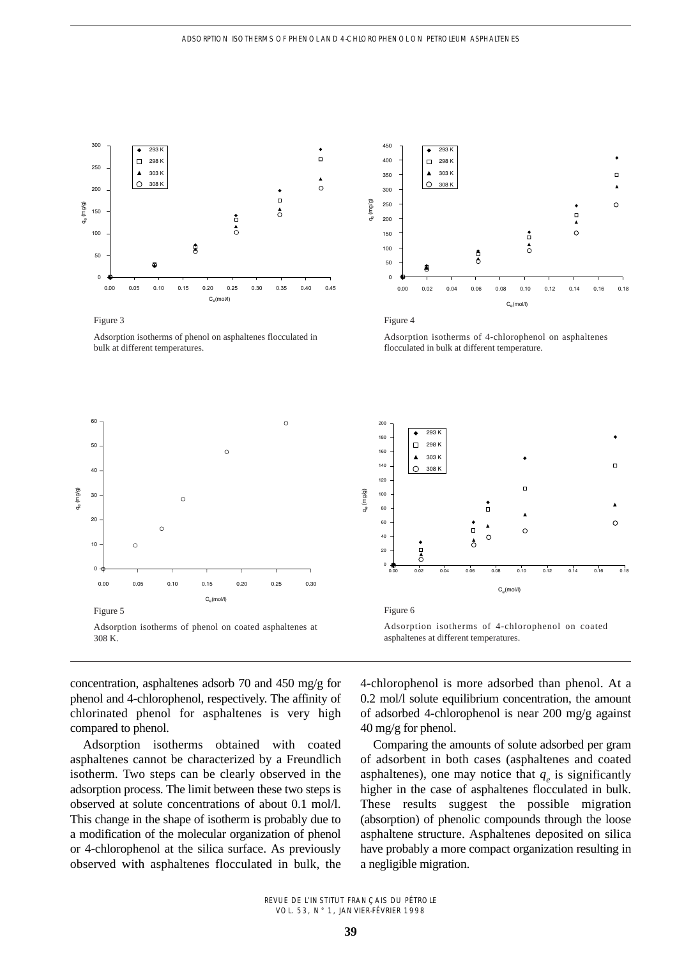

Figure 3

Adsorption isotherms of phenol on asphaltenes flocculated in bulk at different temperatures.



Figure 4

Adsorption isotherms of 4-chlorophenol on asphaltenes flocculated in bulk at different temperature.





Adsorption isotherms of 4-chlorophenol on coated asphaltenes at different temperatures.

concentration, asphaltenes adsorb 70 and 450 mg/g for phenol and 4-chlorophenol, respectively. The affinity of chlorinated phenol for asphaltenes is very high compared to phenol.

Adsorption isotherms obtained with coated asphaltenes cannot be characterized by a Freundlich isotherm. Two steps can be clearly observed in the adsorption process. The limit between these two steps is observed at solute concentrations of about 0.1 mol/l. This change in the shape of isotherm is probably due to a modification of the molecular organization of phenol or 4-chlorophenol at the silica surface. As previously observed with asphaltenes flocculated in bulk, the 4-chlorophenol is more adsorbed than phenol. At a 0.2 mol/l solute equilibrium concentration, the amount of adsorbed 4-chlorophenol is near 200 mg/g against 40 mg/g for phenol.

Comparing the amounts of solute adsorbed per gram of adsorbent in both cases (asphaltenes and coated asphaltenes), one may notice that  $q_e$  is significantly higher in the case of asphaltenes flocculated in bulk. These results suggest the possible migration (absorption) of phenolic compounds through the loose asphaltene structure. Asphaltenes deposited on silica have probably a more compact organization resulting in a negligible migration.